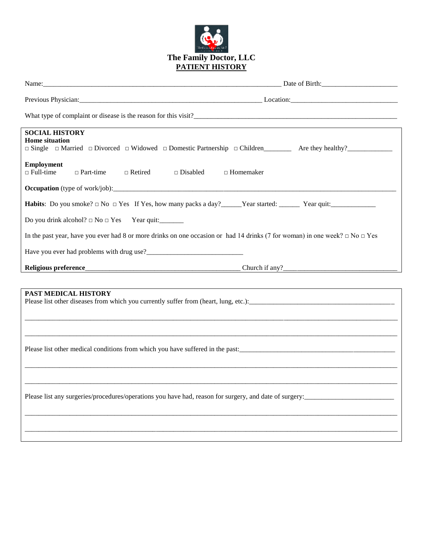

| What type of complaint or disease is the reason for this visit?                                                                       |                  |  |  |  |
|---------------------------------------------------------------------------------------------------------------------------------------|------------------|--|--|--|
| <b>SOCIAL HISTORY</b><br><b>Home situation</b>                                                                                        |                  |  |  |  |
| <b>Employment</b><br>$\Box$ Full-time<br>$\Box$ Part-time<br>$\Box$ Retired<br>$\Box$ Disabled                                        | $\Box$ Homemaker |  |  |  |
|                                                                                                                                       |                  |  |  |  |
| <b>Habits</b> : Do you smoke? $\Box$ No $\Box$ Yes If Yes, how many packs a day? Year started: Year quit: Year quit:                  |                  |  |  |  |
|                                                                                                                                       |                  |  |  |  |
| In the past year, have you ever had 8 or more drinks on one occasion or had 14 drinks (7 for woman) in one week? $\Box$ No $\Box$ Yes |                  |  |  |  |
|                                                                                                                                       |                  |  |  |  |
| Religious preference_                                                                                                                 |                  |  |  |  |
|                                                                                                                                       |                  |  |  |  |
| PAST MEDICAL HISTORY                                                                                                                  |                  |  |  |  |
|                                                                                                                                       |                  |  |  |  |
| Please list other medical conditions from which you have suffered in the past:                                                        |                  |  |  |  |
|                                                                                                                                       |                  |  |  |  |
| Please list any surgeries/procedures/operations you have had, reason for surgery, and date of surgery:                                |                  |  |  |  |
|                                                                                                                                       |                  |  |  |  |
|                                                                                                                                       |                  |  |  |  |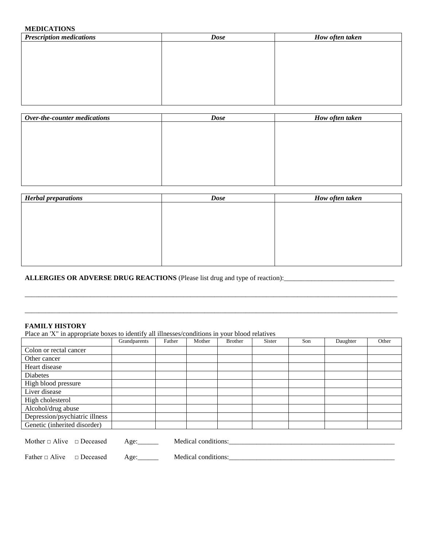# **MEDICATIONS**

| <b>Dose</b> | How often taken |
|-------------|-----------------|
|             |                 |
|             |                 |
|             |                 |
|             |                 |
|             |                 |
|             |                 |
|             |                 |
|             |                 |

| <b>Dose</b> | How often taken |  |  |
|-------------|-----------------|--|--|
|             |                 |  |  |
|             |                 |  |  |
|             |                 |  |  |
|             |                 |  |  |
|             |                 |  |  |
|             |                 |  |  |
|             |                 |  |  |
|             |                 |  |  |

| <b>Herbal preparations</b> | <b>Dose</b> | How often taken |  |  |
|----------------------------|-------------|-----------------|--|--|
|                            |             |                 |  |  |
|                            |             |                 |  |  |
|                            |             |                 |  |  |
|                            |             |                 |  |  |
|                            |             |                 |  |  |
|                            |             |                 |  |  |
|                            |             |                 |  |  |

\_\_\_\_\_\_\_\_\_\_\_\_\_\_\_\_\_\_\_\_\_\_\_\_\_\_\_\_\_\_\_\_\_\_\_\_\_\_\_\_\_\_\_\_\_\_\_\_\_\_\_\_\_\_\_\_\_\_\_\_\_\_\_\_\_\_\_\_\_\_\_\_\_\_\_\_\_\_\_\_\_\_\_\_\_\_\_\_\_\_\_\_\_\_\_\_\_\_\_\_\_\_\_\_\_\_\_\_

\_\_\_\_\_\_\_\_\_\_\_\_\_\_\_\_\_\_\_\_\_\_\_\_\_\_\_\_\_\_\_\_\_\_\_\_\_\_\_\_\_\_\_\_\_\_\_\_\_\_\_\_\_\_\_\_\_\_\_\_\_\_\_\_\_\_\_\_\_\_\_\_\_\_\_\_\_\_\_\_\_\_\_\_\_\_\_\_\_\_\_\_\_\_\_\_\_\_\_\_\_\_\_\_\_\_\_\_

# **ALLERGIES OR ADVERSE DRUG REACTIONS** (Please list drug and type of reaction):\_\_\_\_\_\_\_\_\_\_\_\_\_\_\_\_\_\_\_\_\_\_\_\_\_\_\_\_\_\_\_\_

# **FAMILY HISTORY**

Place an 'X" in appropriate boxes to identify all illnesses/conditions in your blood relatives

| $\mathbf{1}$                                                                             | Grandparents | Father | Mother | <b>Brother</b> | <b>Sister</b> | Son | Daughter | Other |
|------------------------------------------------------------------------------------------|--------------|--------|--------|----------------|---------------|-----|----------|-------|
|                                                                                          |              |        |        |                |               |     |          |       |
| Colon or rectal cancer                                                                   |              |        |        |                |               |     |          |       |
| Other cancer                                                                             |              |        |        |                |               |     |          |       |
| Heart disease                                                                            |              |        |        |                |               |     |          |       |
| Diabetes                                                                                 |              |        |        |                |               |     |          |       |
| High blood pressure                                                                      |              |        |        |                |               |     |          |       |
| Liver disease                                                                            |              |        |        |                |               |     |          |       |
| High cholesterol                                                                         |              |        |        |                |               |     |          |       |
| Alcohol/drug abuse                                                                       |              |        |        |                |               |     |          |       |
| Depression/psychiatric illness                                                           |              |        |        |                |               |     |          |       |
| Genetic (inherited disorder)                                                             |              |        |        |                |               |     |          |       |
|                                                                                          |              |        |        |                |               |     |          |       |
| Mother $\Box$ Alive $\Box$ Deceased<br>Medical conditions:<br>Age: $\_\_\_\_\_\_\_\_\_\$ |              |        |        |                |               |     |          |       |

Father □ Alive □ Deceased Age:\_\_\_\_\_\_ Medical conditions:\_\_\_\_\_\_\_\_\_\_\_\_\_\_\_\_\_\_\_\_\_\_\_\_\_\_\_\_\_\_\_\_\_\_\_\_\_\_\_\_\_\_\_\_\_\_\_\_